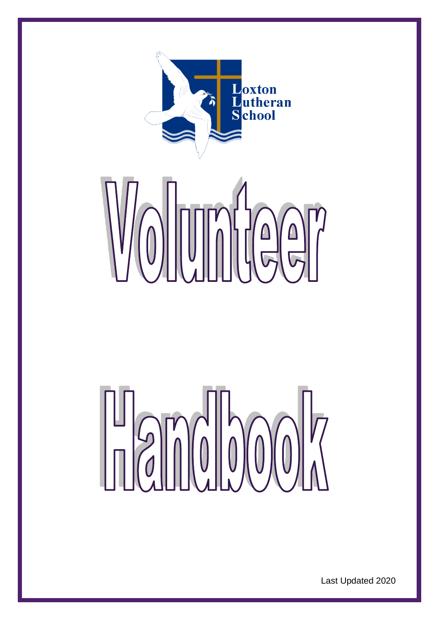





Last Updated 2020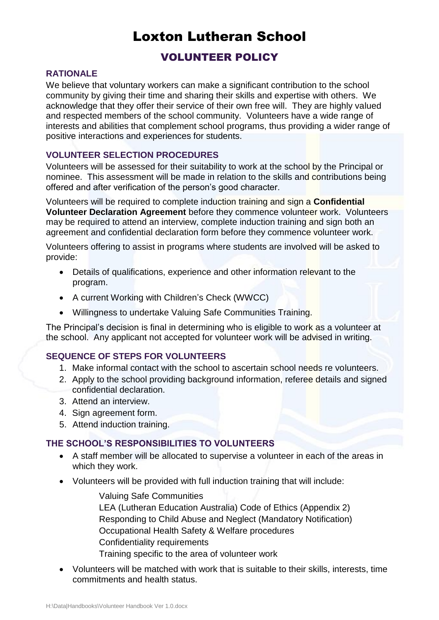# Loxton Lutheran School

# VOLUNTEER POLICY

### **RATIONALE**

We believe that voluntary workers can make a significant contribution to the school community by giving their time and sharing their skills and expertise with others. We acknowledge that they offer their service of their own free will. They are highly valued and respected members of the school community. Volunteers have a wide range of interests and abilities that complement school programs, thus providing a wider range of positive interactions and experiences for students.

# **VOLUNTEER SELECTION PROCEDURES**

Volunteers will be assessed for their suitability to work at the school by the Principal or nominee. This assessment will be made in relation to the skills and contributions being offered and after verification of the person's good character.

Volunteers will be required to complete induction training and sign a **Confidential Volunteer Declaration Agreement** before they commence volunteer work. Volunteers may be required to attend an interview, complete induction training and sign both an agreement and confidential declaration form before they commence volunteer work.

Volunteers offering to assist in programs where students are involved will be asked to provide:

- Details of qualifications, experience and other information relevant to the program.
- A current Working with Children's Check (WWCC)
- Willingness to undertake Valuing Safe Communities Training.

The Principal's decision is final in determining who is eligible to work as a volunteer at the school. Any applicant not accepted for volunteer work will be advised in writing.

# **SEQUENCE OF STEPS FOR VOLUNTEERS**

- 1. Make informal contact with the school to ascertain school needs re volunteers.
- 2. Apply to the school providing background information, referee details and signed confidential declaration.
- 3. Attend an interview.
- 4. Sign agreement form.
- 5. Attend induction training.

#### **THE SCHOOL'S RESPONSIBILITIES TO VOLUNTEERS**

- A staff member will be allocated to supervise a volunteer in each of the areas in which they work.
- Volunteers will be provided with full induction training that will include:

Valuing Safe Communities LEA (Lutheran Education Australia) Code of Ethics (Appendix 2) Responding to Child Abuse and Neglect (Mandatory Notification) Occupational Health Safety & Welfare procedures Confidentiality requirements Training specific to the area of volunteer work

 Volunteers will be matched with work that is suitable to their skills, interests, time commitments and health status.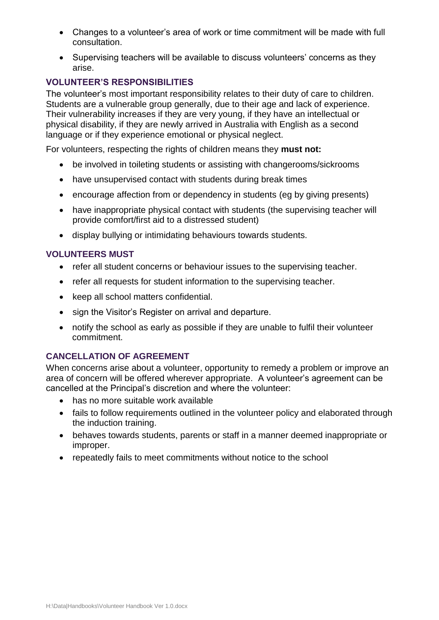- Changes to a volunteer's area of work or time commitment will be made with full consultation.
- Supervising teachers will be available to discuss volunteers' concerns as they arise.

# **VOLUNTEER'S RESPONSIBILITIES**

The volunteer's most important responsibility relates to their duty of care to children. Students are a vulnerable group generally, due to their age and lack of experience. Their vulnerability increases if they are very young, if they have an intellectual or physical disability, if they are newly arrived in Australia with English as a second language or if they experience emotional or physical neglect.

For volunteers, respecting the rights of children means they **must not:**

- be involved in toileting students or assisting with changerooms/sickrooms
- have unsupervised contact with students during break times
- encourage affection from or dependency in students (eg by giving presents)
- have inappropriate physical contact with students (the supervising teacher will provide comfort/first aid to a distressed student)
- display bullying or intimidating behaviours towards students.

# **VOLUNTEERS MUST**

- refer all student concerns or behaviour issues to the supervising teacher.
- refer all requests for student information to the supervising teacher.
- keep all school matters confidential.
- sign the Visitor's Register on arrival and departure.
- notify the school as early as possible if they are unable to fulfil their volunteer commitment.

# **CANCELLATION OF AGREEMENT**

When concerns arise about a volunteer, opportunity to remedy a problem or improve an area of concern will be offered wherever appropriate. A volunteer's agreement can be cancelled at the Principal's discretion and where the volunteer:

- has no more suitable work available
- fails to follow requirements outlined in the volunteer policy and elaborated through the induction training.
- behaves towards students, parents or staff in a manner deemed inappropriate or improper.
- repeatedly fails to meet commitments without notice to the school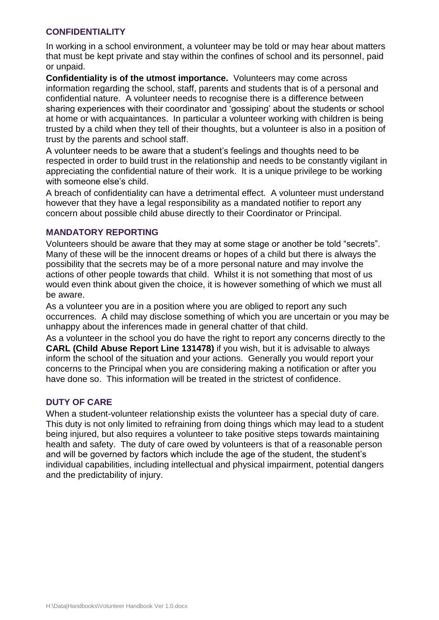#### **CONFIDENTIALITY**

In working in a school environment, a volunteer may be told or may hear about matters that must be kept private and stay within the confines of school and its personnel, paid or unpaid.

**Confidentiality is of the utmost importance.** Volunteers may come across information regarding the school, staff, parents and students that is of a personal and confidential nature. A volunteer needs to recognise there is a difference between sharing experiences with their coordinator and 'gossiping' about the students or school at home or with acquaintances. In particular a volunteer working with children is being trusted by a child when they tell of their thoughts, but a volunteer is also in a position of trust by the parents and school staff.

A volunteer needs to be aware that a student's feelings and thoughts need to be respected in order to build trust in the relationship and needs to be constantly vigilant in appreciating the confidential nature of their work. It is a unique privilege to be working with someone else's child.

A breach of confidentiality can have a detrimental effect. A volunteer must understand however that they have a legal responsibility as a mandated notifier to report any concern about possible child abuse directly to their Coordinator or Principal.

#### **MANDATORY REPORTING**

Volunteers should be aware that they may at some stage or another be told "secrets". Many of these will be the innocent dreams or hopes of a child but there is always the possibility that the secrets may be of a more personal nature and may involve the actions of other people towards that child. Whilst it is not something that most of us would even think about given the choice, it is however something of which we must all be aware.

As a volunteer you are in a position where you are obliged to report any such occurrences. A child may disclose something of which you are uncertain or you may be unhappy about the inferences made in general chatter of that child.

As a volunteer in the school you do have the right to report any concerns directly to the **CARL (Child Abuse Report Line 131478)** if you wish, but it is advisable to always inform the school of the situation and your actions. Generally you would report your concerns to the Principal when you are considering making a notification or after you have done so. This information will be treated in the strictest of confidence.

#### **DUTY OF CARE**

When a student-volunteer relationship exists the volunteer has a special duty of care. This duty is not only limited to refraining from doing things which may lead to a student being injured, but also requires a volunteer to take positive steps towards maintaining health and safety. The duty of care owed by volunteers is that of a reasonable person and will be governed by factors which include the age of the student, the student's individual capabilities, including intellectual and physical impairment, potential dangers and the predictability of injury.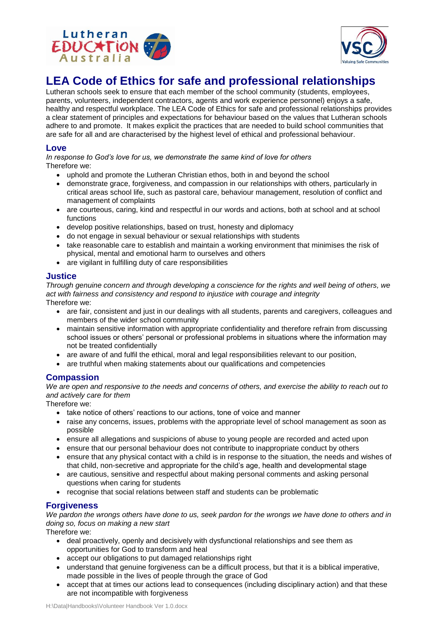



# **LEA Code of Ethics for safe and professional relationships**

Lutheran schools seek to ensure that each member of the school community (students, employees, parents, volunteers, independent contractors, agents and work experience personnel) enjoys a safe, healthy and respectful workplace. The LEA Code of Ethics for safe and professional relationships provides a clear statement of principles and expectations for behaviour based on the values that Lutheran schools adhere to and promote. It makes explicit the practices that are needed to build school communities that are safe for all and are characterised by the highest level of ethical and professional behaviour.

#### **Love**

*In response to God's love for us, we demonstrate the same kind of love for others* Therefore we:

- uphold and promote the Lutheran Christian ethos, both in and beyond the school
- demonstrate grace, forgiveness, and compassion in our relationships with others, particularly in critical areas school life, such as pastoral care, behaviour management, resolution of conflict and management of complaints
- are courteous, caring, kind and respectful in our words and actions, both at school and at school functions
- develop positive relationships, based on trust, honesty and diplomacy
- do not engage in sexual behaviour or sexual relationships with students
- take reasonable care to establish and maintain a working environment that minimises the risk of physical, mental and emotional harm to ourselves and others
- are vigilant in fulfilling duty of care responsibilities

#### **Justice**

*Through genuine concern and through developing a conscience for the rights and well being of others, we act with fairness and consistency and respond to injustice with courage and integrity* Therefore we:

- are fair, consistent and just in our dealings with all students, parents and caregivers, colleagues and members of the wider school community
- maintain sensitive information with appropriate confidentiality and therefore refrain from discussing school issues or others' personal or professional problems in situations where the information may not be treated confidentially
- are aware of and fulfil the ethical, moral and legal responsibilities relevant to our position,
- are truthful when making statements about our qualifications and competencies

#### **Compassion**

*We are open and responsive to the needs and concerns of others, and exercise the ability to reach out to and actively care for them*

Therefore we:

- take notice of others' reactions to our actions, tone of voice and manner
- raise any concerns, issues, problems with the appropriate level of school management as soon as possible
- ensure all allegations and suspicions of abuse to young people are recorded and acted upon
- ensure that our personal behaviour does not contribute to inappropriate conduct by others
- ensure that any physical contact with a child is in response to the situation, the needs and wishes of that child, non-secretive and appropriate for the child's age, health and developmental stage
- are cautious, sensitive and respectful about making personal comments and asking personal questions when caring for students
- recognise that social relations between staff and students can be problematic

#### **Forgiveness**

*We pardon the wrongs others have done to us, seek pardon for the wrongs we have done to others and in doing so, focus on making a new start*

Therefore we:

- deal proactively, openly and decisively with dysfunctional relationships and see them as opportunities for God to transform and heal
- accept our obligations to put damaged relationships right
- understand that genuine forgiveness can be a difficult process, but that it is a biblical imperative, made possible in the lives of people through the grace of God
- accept that at times our actions lead to consequences (including disciplinary action) and that these are not incompatible with forgiveness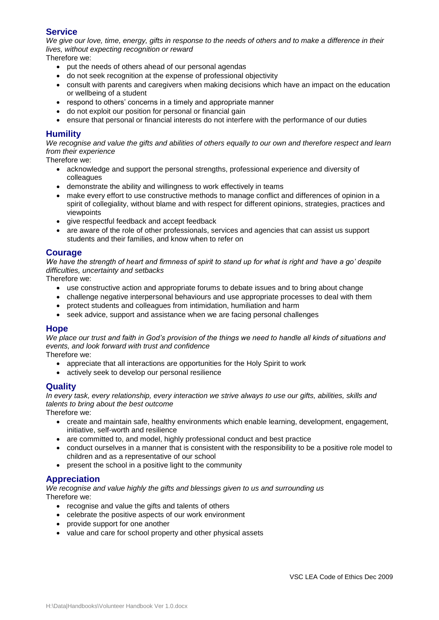#### **Service**

*We give our love, time, energy, gifts in response to the needs of others and to make a difference in their lives, without expecting recognition or reward*

Therefore we:

- put the needs of others ahead of our personal agendas
- do not seek recognition at the expense of professional objectivity
- consult with parents and caregivers when making decisions which have an impact on the education or wellbeing of a student
- respond to others' concerns in a timely and appropriate manner
- do not exploit our position for personal or financial gain
- ensure that personal or financial interests do not interfere with the performance of our duties

#### **Humility**

*We recognise and value the gifts and abilities of others equally to our own and therefore respect and learn from their experience*

Therefore we:

- acknowledge and support the personal strengths, professional experience and diversity of colleagues
- demonstrate the ability and willingness to work effectively in teams
- make every effort to use constructive methods to manage conflict and differences of opinion in a spirit of collegiality, without blame and with respect for different opinions, strategies, practices and viewpoints
- give respectful feedback and accept feedback
- are aware of the role of other professionals, services and agencies that can assist us support students and their families, and know when to refer on

#### **Courage**

*We have the strength of heart and firmness of spirit to stand up for what is right and 'have a go' despite difficulties, uncertainty and setbacks*

Therefore we:

- use constructive action and appropriate forums to debate issues and to bring about change
- challenge negative interpersonal behaviours and use appropriate processes to deal with them
- protect students and colleagues from intimidation, humiliation and harm
- seek advice, support and assistance when we are facing personal challenges

#### **Hope**

*We place our trust and faith in God's provision of the things we need to handle all kinds of situations and events, and look forward with trust and confidence*

Therefore we:

- appreciate that all interactions are opportunities for the Holy Spirit to work
- actively seek to develop our personal resilience

#### **Quality**

*In every task, every relationship, every interaction we strive always to use our gifts, abilities, skills and talents to bring about the best outcome*

Therefore we:

- create and maintain safe, healthy environments which enable learning, development, engagement, initiative, self-worth and resilience
- are committed to, and model, highly professional conduct and best practice
- conduct ourselves in a manner that is consistent with the responsibility to be a positive role model to children and as a representative of our school
- present the school in a positive light to the community

#### **Appreciation**

*We recognise and value highly the gifts and blessings given to us and surrounding us* Therefore we:

- recognise and value the gifts and talents of others
- celebrate the positive aspects of our work environment
- provide support for one another
- value and care for school property and other physical assets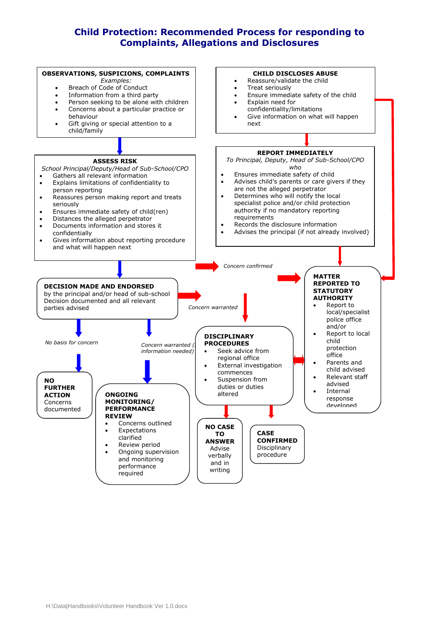# **Child Protection: Recommended Process for responding to Complaints, Allegations and Disclosures**